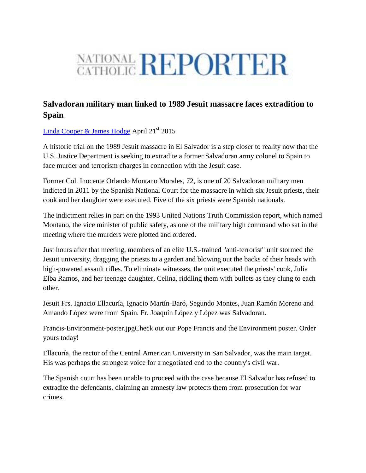## NATIONAL REPORTER

## **Salvadoran military man linked to 1989 Jesuit massacre faces extradition to Spain**

[Linda Cooper & James Hodge](http://ncronline.org/news/global/salvadoran-military-man-linked-1989-jesuit-massacre-faces-extradition-spain) April 21<sup>st</sup> 2015

A historic trial on the 1989 Jesuit massacre in El Salvador is a step closer to reality now that the U.S. Justice Department is seeking to extradite a former Salvadoran army colonel to Spain to face murder and terrorism charges in connection with the Jesuit case.

Former Col. Inocente Orlando Montano Morales, 72, is one of 20 Salvadoran military men indicted in 2011 by the Spanish National Court for the massacre in which six Jesuit priests, their cook and her daughter were executed. Five of the six priests were Spanish nationals.

The indictment relies in part on the 1993 United Nations Truth Commission report, which named Montano, the vice minister of public safety, as one of the military high command who sat in the meeting where the murders were plotted and ordered.

Just hours after that meeting, members of an elite U.S.-trained "anti-terrorist" unit stormed the Jesuit university, dragging the priests to a garden and blowing out the backs of their heads with high-powered assault rifles. To eliminate witnesses, the unit executed the priests' cook, Julia Elba Ramos, and her teenage daughter, Celina, riddling them with bullets as they clung to each other.

Jesuit Frs. Ignacio Ellacuría, Ignacio Martín-Baró, Segundo Montes, Juan Ramón Moreno and Amando López were from Spain. Fr. Joaquín López y López was Salvadoran.

Francis-Environment-poster.jpgCheck out our Pope Francis and the Environment poster. Order yours today!

Ellacuría, the rector of the Central American University in San Salvador, was the main target. His was perhaps the strongest voice for a negotiated end to the country's civil war.

The Spanish court has been unable to proceed with the case because El Salvador has refused to extradite the defendants, claiming an amnesty law protects them from prosecution for war crimes.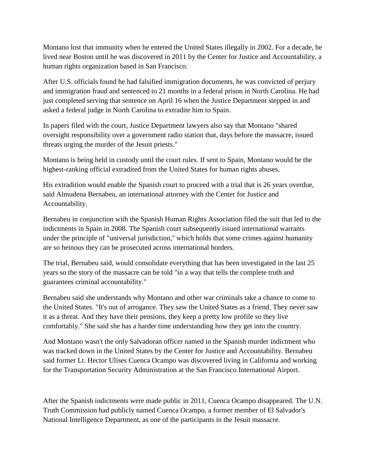Montano lost that immunity when he entered the United States illegally in 2002. For a decade, he lived near Boston until he was discovered in 2011 by the Center for Justice and Accountability, a human rights organization based in San Francisco.

After U.S. officials found he had falsified immigration documents, he was convicted of perjury and immigration fraud and sentenced to 21 months in a federal prison in North Carolina. He had just completed serving that sentence on April 16 when the Justice Department stepped in and asked a federal judge in North Carolina to extradite him to Spain.

In papers filed with the court, Justice Department lawyers also say that Montano "shared oversight responsibility over a government radio station that, days before the massacre, issued threats urging the murder of the Jesuit priests."

Montano is being held in custody until the court rules. If sent to Spain, Montano would be the highest-ranking official extradited from the United States for human rights abuses.

His extradition would enable the Spanish court to proceed with a trial that is 26 years overdue, said Almudena Bernabeu, an international attorney with the Center for Justice and Accountability.

Bernabeu in conjunction with the Spanish Human Rights Association filed the suit that led to the indictments in Spain in 2008. The Spanish court subsequently issued international warrants under the principle of "universal jurisdiction,'' which holds that some crimes against humanity are so heinous they can be prosecuted across international borders.

The trial, Bernabeu said, would consolidate everything that has been investigated in the last 25 years so the story of the massacre can be told "in a way that tells the complete truth and guarantees criminal accountability."

Bernabeu said she understands why Montano and other war criminals take a chance to come to the United States. "It's out of arrogance. They saw the United States as a friend. They never saw it as a threat. And they have their pensions, they keep a pretty low profile so they live comfortably." She said she has a harder time understanding how they get into the country.

And Montano wasn't the only Salvadoran officer named in the Spanish murder indictment who was tracked down in the United States by the Center for Justice and Accountability. Bernabeu said former Lt. Hector Ulises Cuenca Ocampo was discovered living in California and working for the Transportation Security Administration at the San Francisco International Airport.

After the Spanish indictments were made public in 2011, Cuenca Ocampo disappeared. The U.N. Truth Commission had publicly named Cuenca Ocampo, a former member of El Salvador's National Intelligence Department, as one of the participants in the Jesuit massacre.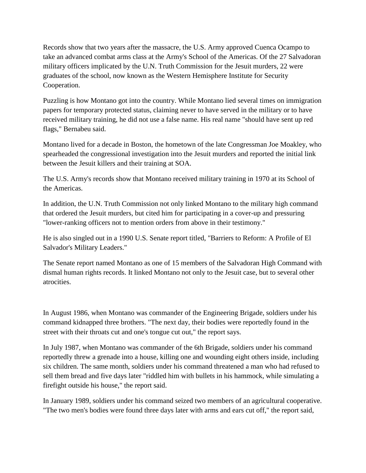Records show that two years after the massacre, the U.S. Army approved Cuenca Ocampo to take an advanced combat arms class at the Army's School of the Americas. Of the 27 Salvadoran military officers implicated by the U.N. Truth Commission for the Jesuit murders, 22 were graduates of the school, now known as the Western Hemisphere Institute for Security Cooperation.

Puzzling is how Montano got into the country. While Montano lied several times on immigration papers for temporary protected status, claiming never to have served in the military or to have received military training, he did not use a false name. His real name "should have sent up red flags," Bernabeu said.

Montano lived for a decade in Boston, the hometown of the late Congressman Joe Moakley, who spearheaded the congressional investigation into the Jesuit murders and reported the initial link between the Jesuit killers and their training at SOA.

The U.S. Army's records show that Montano received military training in 1970 at its School of the Americas.

In addition, the U.N. Truth Commission not only linked Montano to the military high command that ordered the Jesuit murders, but cited him for participating in a cover-up and pressuring "lower-ranking officers not to mention orders from above in their testimony."

He is also singled out in a 1990 U.S. Senate report titled, "Barriers to Reform: A Profile of El Salvador's Military Leaders."

The Senate report named Montano as one of 15 members of the Salvadoran High Command with dismal human rights records. It linked Montano not only to the Jesuit case, but to several other atrocities.

In August 1986, when Montano was commander of the Engineering Brigade, soldiers under his command kidnapped three brothers. "The next day, their bodies were reportedly found in the street with their throats cut and one's tongue cut out," the report says.

In July 1987, when Montano was commander of the 6th Brigade, soldiers under his command reportedly threw a grenade into a house, killing one and wounding eight others inside, including six children. The same month, soldiers under his command threatened a man who had refused to sell them bread and five days later "riddled him with bullets in his hammock, while simulating a firefight outside his house," the report said.

In January 1989, soldiers under his command seized two members of an agricultural cooperative. "The two men's bodies were found three days later with arms and ears cut off," the report said,